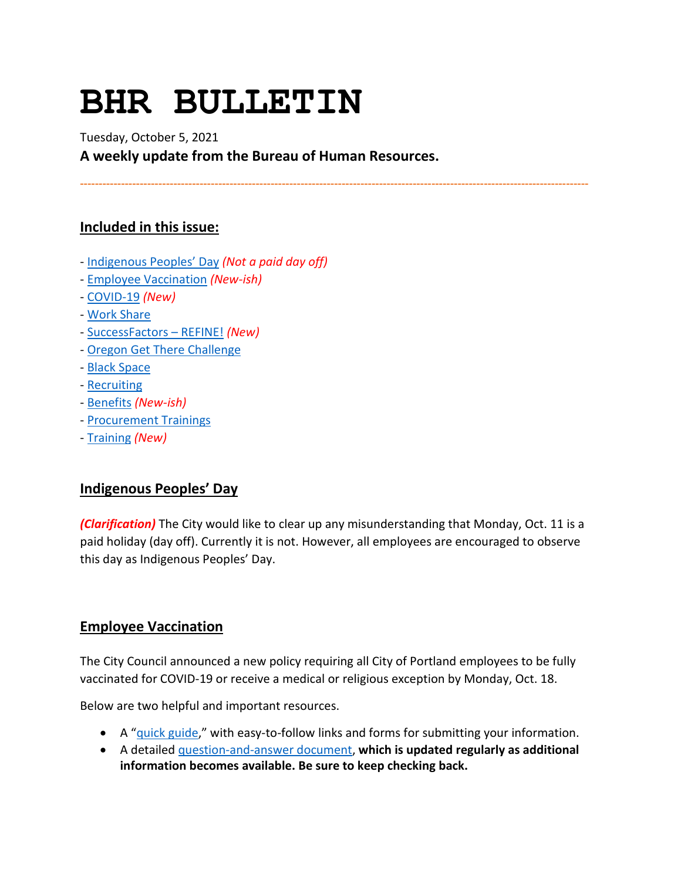# **BHR BULLETIN**

Tuesday, October 5, 2021 **A weekly update from the Bureau of Human Resources.**

**----------------------------------------------------------------------------------------------------------------------------------------**

# **Included in this issue:**

- [Indigenous Peoples' Day](#page-0-0) *(Not a paid day off)*
- [Employee Vaccination](#page-0-1) *(New-ish)*
- [COVID-19](#page-1-0) *(New)*
- [Work Share](#page-3-0)
- [SuccessFactors –](#page-4-0) REFINE! *(New)*
- *-* [Oregon Get There Challenge](#page-5-0)
- [Black Space](#page-6-0)
- [Recruiting](#page-6-1)
- [Benefits](#page-6-2) *(New-ish)*
- [Procurement Trainings](#page-8-0)
- [Training](#page-8-1) *(New)*

# <span id="page-0-0"></span>**Indigenous Peoples' Day**

*(Clarification)* The City would like to clear up any misunderstanding that Monday, Oct. 11 is a paid holiday (day off). Currently it is not. However, all employees are encouraged to observe this day as Indigenous Peoples' Day.

# <span id="page-0-1"></span>**Employee Vaccination**

The City Council announced a new policy requiring all City of Portland employees to be fully vaccinated for COVID-19 or receive a medical or religious exception by Monday, Oct. 18.

Below are two helpful and important resources.

- A ["quick guide,](https://www.portland.gov/bhr/vaccinationquickguide)" with easy-to-follow links and forms for submitting your information.
- A detailed [question-and-answer document,](https://www.portland.gov/bhr/vaccinationfaq) **which is updated regularly as additional information becomes available. Be sure to keep checking back.**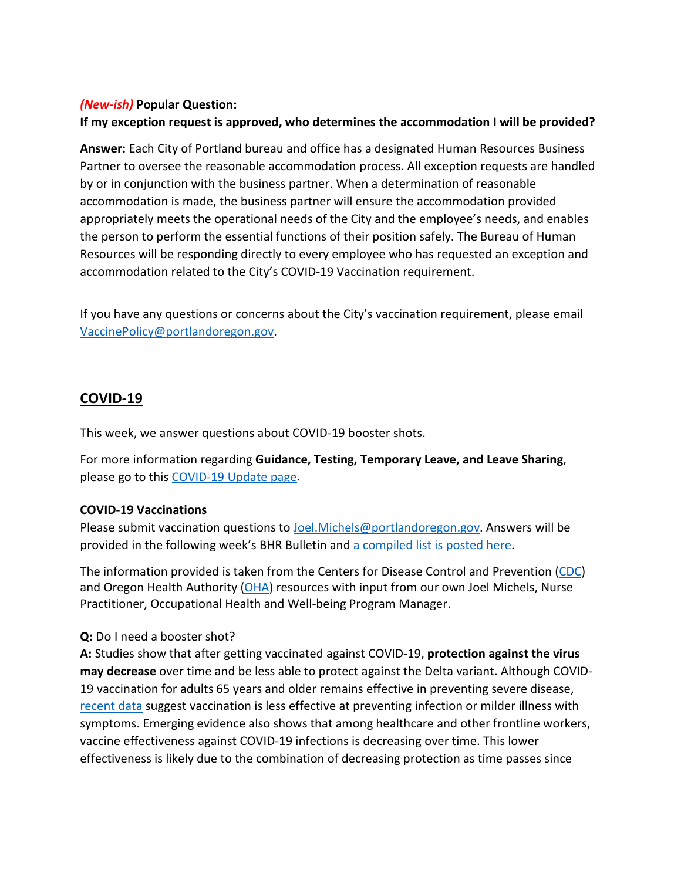#### *(New-ish)* **Popular Question:**

# **If my exception request is approved, who determines the accommodation I will be provided?**

**Answer:** Each City of Portland bureau and office has a designated Human Resources Business Partner to oversee the reasonable accommodation process. All exception requests are handled by or in conjunction with the business partner. When a determination of reasonable accommodation is made, the business partner will ensure the accommodation provided appropriately meets the operational needs of the City and the employee's needs, and enables the person to perform the essential functions of their position safely. The Bureau of Human Resources will be responding directly to every employee who has requested an exception and accommodation related to the City's COVID-19 Vaccination requirement.

If you have any questions or concerns about the City's vaccination requirement, please email [VaccinePolicy@portlandoregon.gov.](mailto:VaccinePolicy@portlandoregon.gov)

# <span id="page-1-0"></span>**COVID-19**

This week, we answer questions about COVID-19 booster shots.

For more information regarding **Guidance, Testing, Temporary Leave, and Leave Sharing**, please go to this [COVID-19 Update page.](https://www.portlandoregon.gov/bhr/article/779927)

## **COVID-19 Vaccinations**

Please submit vaccination questions to [Joel.Michels@portlandoregon.gov.](mailto:Joel.Michels@portlandoregon.gov) Answers will be provided in the following week's BHR Bulletin an[d a compiled list is posted here.](https://www.portlandoregon.gov/bhr/article/796480)

The information provided is taken from the Centers for Disease Control and Prevention [\(CDC\)](https://www.cdc.gov/coronavirus/2019-ncov/vaccines/index.html) and Oregon Health Authority [\(OHA\)](https://covidvaccine.oregon.gov/) resources with input from our own Joel Michels, Nurse Practitioner, Occupational Health and Well-being Program Manager.

## **Q:** Do I need a booster shot?

**A:** Studies show that after getting vaccinated against COVID-19, **protection against the virus may decrease** over time and be less able to protect against the Delta variant. Although COVID-19 vaccination for adults 65 years and older remains effective in preventing severe disease, [recent data](https://www.cdc.gov/vaccines/acip/meetings/downloads/slides-2021-9-23/03-COVID-Oliver.pdf) suggest vaccination is less effective at preventing infection or milder illness with symptoms. Emerging evidence also shows that among healthcare and other frontline workers, vaccine effectiveness against COVID-19 infections is decreasing over time. This lower effectiveness is likely due to the combination of decreasing protection as time passes since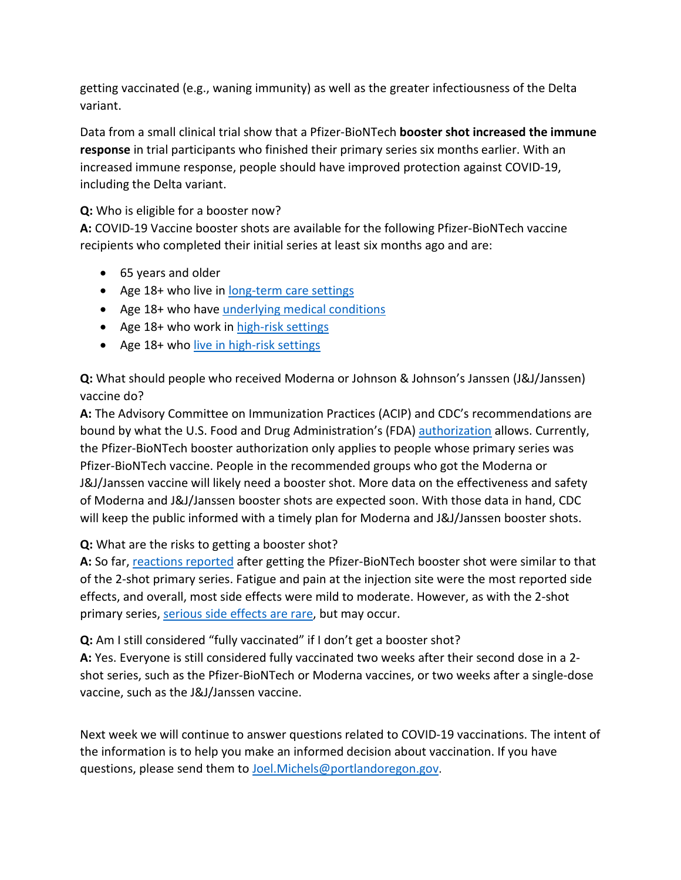getting vaccinated (e.g., waning immunity) as well as the greater infectiousness of the Delta variant.

Data from a small clinical trial show that a Pfizer-BioNTech **booster shot increased the immune response** in trial participants who finished their primary series six months earlier. With an increased immune response, people should have improved protection against COVID-19, including the Delta variant.

# **Q:** Who is eligible for a booster now?

**A:** COVID-19 Vaccine booster shots are available for the following Pfizer-BioNTech vaccine recipients who completed their initial series at least six months ago and are:

- 65 years and older
- Age 18+ who live in [long-term care settings](https://www.cdc.gov/coronavirus/2019-ncov/vaccines/booster-shot.html#long-term-care)
- Age 18+ who have [underlying medical conditions](https://www.cdc.gov/coronavirus/2019-ncov/need-extra-precautions/people-with-medical-conditions.html)
- Age 18+ who work in [high-risk settings](https://www.cdc.gov/coronavirus/2019-ncov/vaccines/booster-shot.html#HighRisk)
- Age 18+ who [live in high-risk settings](https://www.cdc.gov/coronavirus/2019-ncov/vaccines/booster-shot.html#HighRisk)

**Q:** What should people who received Moderna or Johnson & Johnson's Janssen (J&J/Janssen) vaccine do?

**A:** The Advisory Committee on Immunization Practices (ACIP) and CDC's recommendations are bound by what the U.S. Food and Drug Administration's (FDA) [authorization](https://www.fda.gov/news-events/press-announcements/fda-authorizes-booster-dose-pfizer-biontech-covid-19-vaccine-certain-populations) allows. Currently, the Pfizer-BioNTech booster authorization only applies to people whose primary series was Pfizer-BioNTech vaccine. People in the recommended groups who got the Moderna or J&J/Janssen vaccine will likely need a booster shot. More data on the effectiveness and safety of Moderna and J&J/Janssen booster shots are expected soon. With those data in hand, CDC will keep the public informed with a timely plan for Moderna and J&J/Janssen booster shots.

## **Q:** What are the risks to getting a booster shot?

**A:** So far, [reactions reported](https://www.cdc.gov/vaccines/acip/meetings/downloads/slides-2021-9-23/03-COVID-Oliver.pdf) after getting the Pfizer-BioNTech booster shot were similar to that of the 2-shot primary series. Fatigue and pain at the injection site were the most reported side effects, and overall, most side effects were mild to moderate. However, as with the 2-shot primary series, [serious side effects are rare,](https://www.cdc.gov/coronavirus/2019-ncov/vaccines/safety/safety-of-vaccines.html) but may occur.

**Q:** Am I still considered "fully vaccinated" if I don't get a booster shot?

**A:** Yes. Everyone is still considered fully vaccinated two weeks after their second dose in a 2 shot series, such as the Pfizer-BioNTech or Moderna vaccines, or two weeks after a single-dose vaccine, such as the J&J/Janssen vaccine.

Next week we will continue to answer questions related to COVID-19 vaccinations. The intent of the information is to help you make an informed decision about vaccination. If you have questions, please send them to [Joel.Michels@portlandoregon.gov.](mailto:Joel.Michels@portlandoregon.gov)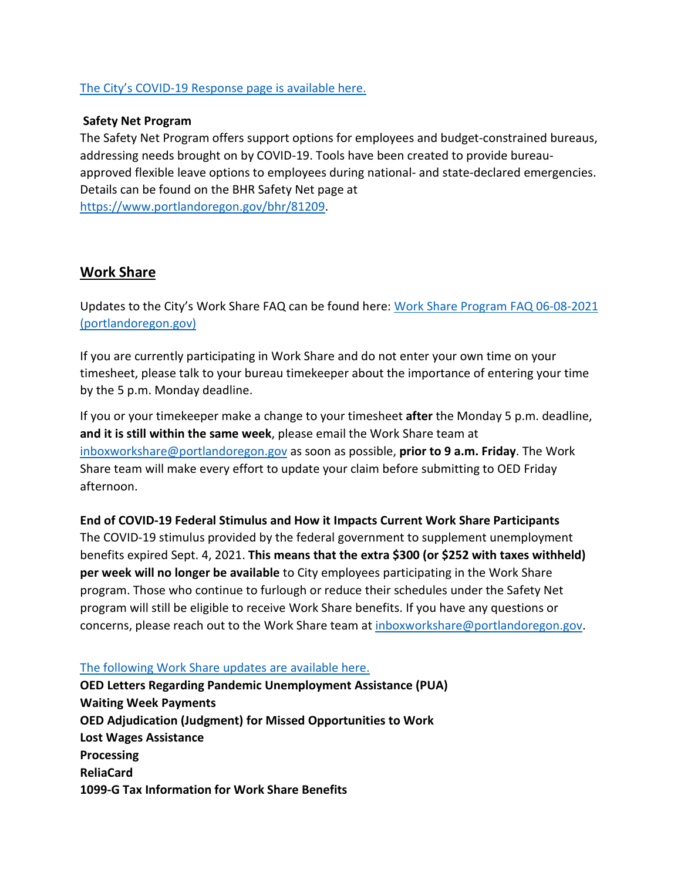### [The City's COVID-19 Response page is available here.](https://www.portlandoregon.gov/bhr/index.cfm?&c=81055)

#### **Safety Net Program**

The Safety Net Program offers support options for employees and budget-constrained bureaus, addressing needs brought on by COVID-19. Tools have been created to provide bureauapproved flexible leave options to employees during national- and state-declared emergencies. Details can be found on the BHR Safety Net page at [https://www.portlandoregon.gov/bhr/81209.](https://www.portlandoregon.gov/bhr/81209)

# <span id="page-3-0"></span>**Work Share**

Updates to the City's Work Share FAQ can be found here: [Work Share Program FAQ 06-08-2021](https://www.portlandoregon.gov/bhr/article/761976)  [\(portlandoregon.gov\)](https://www.portlandoregon.gov/bhr/article/761976)

If you are currently participating in Work Share and do not enter your own time on your timesheet, please talk to your bureau timekeeper about the importance of entering your time by the 5 p.m. Monday deadline.

If you or your timekeeper make a change to your timesheet **after** the Monday 5 p.m. deadline, **and it is still within the same week**, please email the Work Share team at [inboxworkshare@portlandoregon.gov](mailto:inboxworkshare@portlandoregon.gov) as soon as possible, **prior to 9 a.m. Friday**. The Work Share team will make every effort to update your claim before submitting to OED Friday afternoon.

**End of COVID-19 Federal Stimulus and How it Impacts Current Work Share Participants** The COVID-19 stimulus provided by the federal government to supplement unemployment benefits expired Sept. 4, 2021. **This means that the extra \$300 (or \$252 with taxes withheld) per week will no longer be available** to City employees participating in the Work Share program. Those who continue to furlough or reduce their schedules under the Safety Net program will still be eligible to receive Work Share benefits. If you have any questions or concerns, please reach out to the Work Share team at [inboxworkshare@portlandoregon.gov.](mailto:inboxworkshare@portlandoregon.gov)

#### [The following Work Share updates are available here.](https://www.portlandoregon.gov/bhr/article/785595)

**OED Letters Regarding Pandemic Unemployment Assistance (PUA) Waiting Week Payments OED Adjudication (Judgment) for Missed Opportunities to Work Lost Wages Assistance Processing ReliaCard 1099-G Tax Information for Work Share Benefits**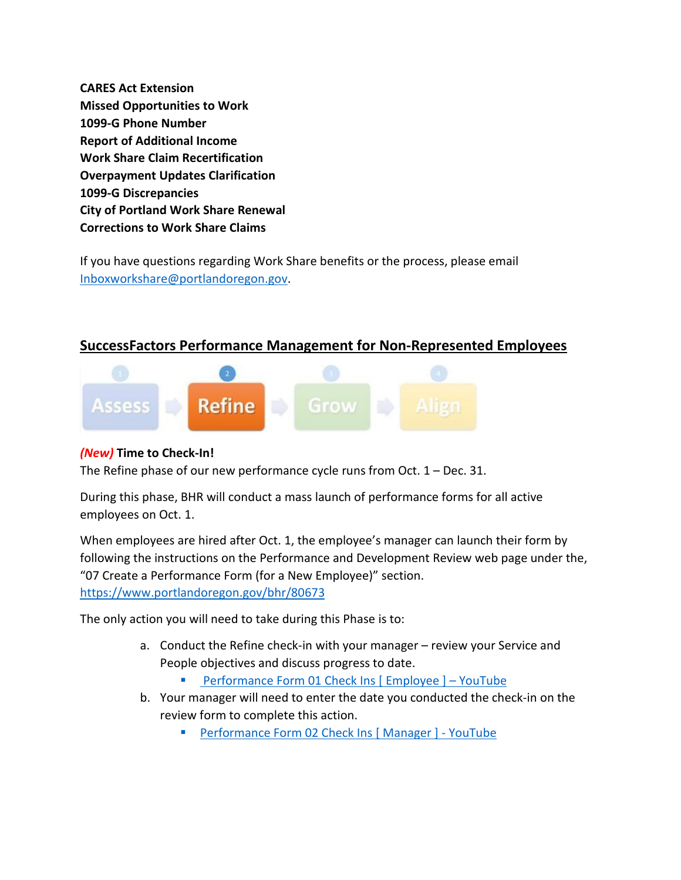**CARES Act Extension Missed Opportunities to Work 1099-G Phone Number Report of Additional Income Work Share Claim Recertification Overpayment Updates Clarification 1099-G Discrepancies City of Portland Work Share Renewal Corrections to Work Share Claims**

If you have questions regarding Work Share benefits or the process, please email [Inboxworkshare@portlandoregon.gov.](mailto:Inboxworkshare@portlandoregon.gov)

# <span id="page-4-0"></span>**SuccessFactors Performance Management for Non-Represented Employees**



## *(New)* **Time to Check-In!**

The Refine phase of our new performance cycle runs from Oct. 1 – Dec. 31.

During this phase, BHR will conduct a mass launch of performance forms for all active employees on Oct. 1.

When employees are hired after Oct. 1, the employee's manager can launch their form by following the instructions on the Performance and Development Review web page under the, "07 Create a Performance Form (for a New Employee)" section. <https://www.portlandoregon.gov/bhr/80673>

The only action you will need to take during this Phase is to:

- a. Conduct the Refine check-in with your manager review your Service and People objectives and discuss progress to date.
	- [Performance Form 01 Check Ins \[ Employee \] –](https://www.youtube.com/watch?v=jsjxScZqKqU) YouTube
- b. Your manager will need to enter the date you conducted the check-in on the review form to complete this action.
	- Performance Form 02 Check Ins [Manager ] YouTube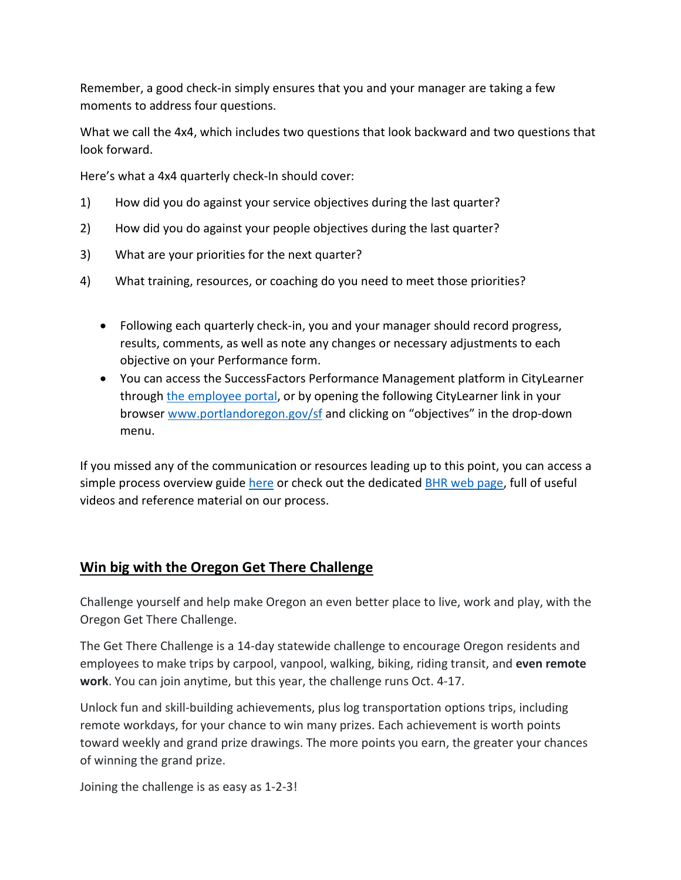Remember, a good check-in simply ensures that you and your manager are taking a few moments to address four questions.

What we call the 4x4, which includes two questions that look backward and two questions that look forward.

Here's what a 4x4 quarterly check-In should cover:

- 1) How did you do against your service objectives during the last quarter?
- 2) How did you do against your people objectives during the last quarter?
- 3) What are your priorities for the next quarter?
- 4) What training, resources, or coaching do you need to meet those priorities?
	- Following each quarterly check-in, you and your manager should record progress, results, comments, as well as note any changes or necessary adjustments to each objective on your Performance form.
	- You can access the SuccessFactors Performance Management platform in CityLearner through [the employee portal,](https://www.portlandoregon.gov/employee/index.cfm?) or by opening the following CityLearner link in your browser [www.portlandoregon.gov/sf](http://www.portlandoregon.gov/sf) and clicking on "objectives" in the drop-down menu.

If you missed any of the communication or resources leading up to this point, you can access a simple process overview guide [here](https://www.portlandoregon.gov/bhr/article/758125) or check out the dedicated [BHR web page,](https://www.portlandoregon.gov/bhr/index.cfm?&c=80673) full of useful videos and reference material on our process.

# <span id="page-5-0"></span>**Win big with the Oregon Get There Challenge**

Challenge yourself and help make Oregon an even better place to live, work and play, with the Oregon Get There Challenge.

The Get There Challenge is a 14-day statewide challenge to encourage Oregon residents and employees to make trips by carpool, vanpool, walking, biking, riding transit, and **even remote work**. You can join anytime, but this year, the challenge runs Oct. 4-17.

Unlock fun and skill-building achievements, plus log transportation options trips, including remote workdays, for your chance to win many prizes. Each achievement is worth points toward weekly and grand prize drawings. The more points you earn, the greater your chances of winning the grand prize.

Joining the challenge is as easy as 1-2-3!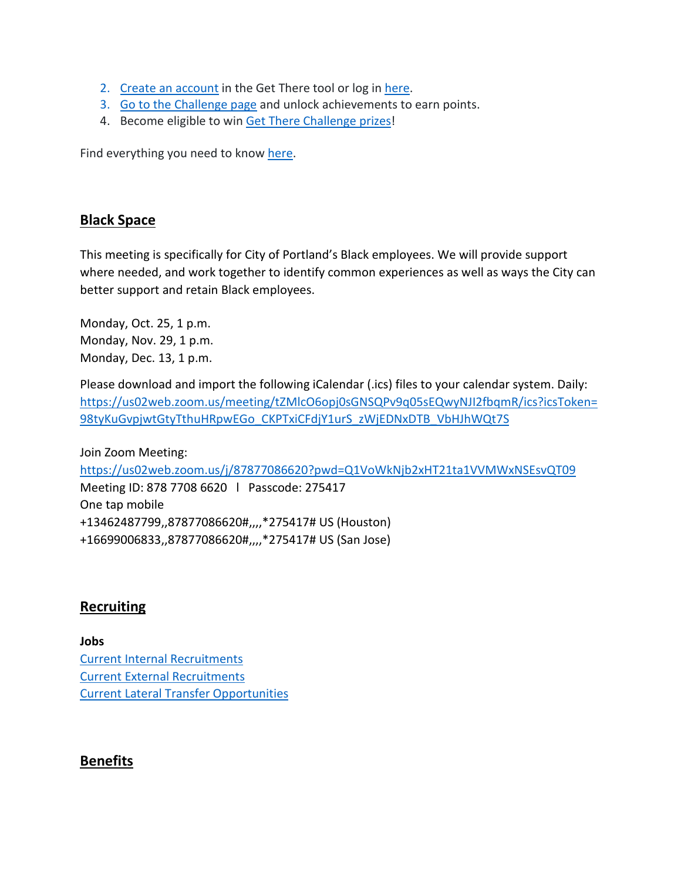- 2. [Create an account](https://getthere.rideamigos.com/#/) in the Get There tool or log in [here.](https://getthere.rideamigos.com/#/)
- 3. [Go to the Challenge page](https://getthere.rideamigos.com/#/pages/2021GetThereChallenge) and unlock achievements to earn points.
- 4. Become eligible to win [Get There Challenge prizes!](https://getthereoregon.org/prizes/)

Find everything you need to know [here.](https://getthereoregon.org/challenge/)

# <span id="page-6-0"></span>**Black Space**

This meeting is specifically for City of Portland's Black employees. We will provide support where needed, and work together to identify common experiences as well as ways the City can better support and retain Black employees.

Monday, Oct. 25, 1 p.m. Monday, Nov. 29, 1 p.m. Monday, Dec. 13, 1 p.m.

Please download and import the following iCalendar (.ics) files to your calendar system. Daily: [https://us02web.zoom.us/meeting/tZMlcO6opj0sGNSQPv9q05sEQwyNJI2fbqmR/ics?icsToken=](https://us02web.zoom.us/meeting/tZMlcO6opj0sGNSQPv9q05sEQwyNJI2fbqmR/ics?icsToken=98tyKuGvpjwtGtyTthuHRpwEGo_CKPTxiCFdjY1urS_zWjEDNxDTB_VbHJhWQt7S) [98tyKuGvpjwtGtyTthuHRpwEGo\\_CKPTxiCFdjY1urS\\_zWjEDNxDTB\\_VbHJhWQt7S](https://us02web.zoom.us/meeting/tZMlcO6opj0sGNSQPv9q05sEQwyNJI2fbqmR/ics?icsToken=98tyKuGvpjwtGtyTthuHRpwEGo_CKPTxiCFdjY1urS_zWjEDNxDTB_VbHJhWQt7S)

Join Zoom Meeting: <https://us02web.zoom.us/j/87877086620?pwd=Q1VoWkNjb2xHT21ta1VVMWxNSEsvQT09> Meeting ID: 878 7708 6620 l Passcode: 275417 One tap mobile +13462487799,,87877086620#,,,,\*275417# US (Houston) +16699006833,,87877086620#,,,,\*275417# US (San Jose)

# <span id="page-6-1"></span>**Recruiting**

**Jobs** [Current Internal Recruitments](https://www.governmentjobs.com/careers/portlandor/promotionaljobs) [Current External Recruitments](https://www.governmentjobs.com/careers/portlandor?) [Current Lateral Transfer Opportunities](https://www.governmentjobs.com/careers/portlandor/transferjobs)

# <span id="page-6-2"></span>**Benefits**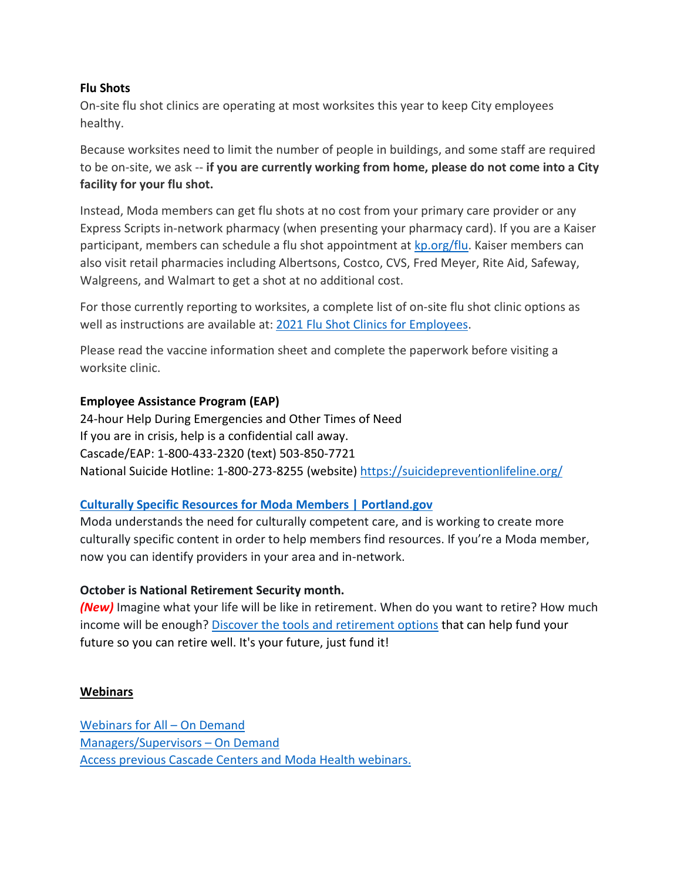### **Flu Shots**

On-site flu shot clinics are operating at most worksites this year to keep City employees healthy.

Because worksites need to limit the number of people in buildings, and some staff are required to be on-site, we ask -- **if you are currently working from home, please do not come into a City facility for your flu shot.**

Instead, Moda members can get flu shots at no cost from your primary care provider or any Express Scripts in-network pharmacy (when presenting your pharmacy card). If you are a Kaiser participant, members can schedule a flu shot appointment at [kp.org/flu.](https://healthy.kaiserpermanente.org/oregon-washington/health-wellness/flu) Kaiser members can also visit retail pharmacies including Albertsons, Costco, CVS, Fred Meyer, Rite Aid, Safeway, Walgreens, and Walmart to get a shot at no additional cost.

For those currently reporting to worksites, a complete list of on-site flu shot clinic options as well as instructions are available at: [2021 Flu Shot Clinics for Employees.](https://www.portland.gov/bhr/benefit-offerings/events/2021/9/15/2021-flu-shot-clinics-employees)

Please read the vaccine information sheet and complete the paperwork before visiting a worksite clinic.

#### **Employee Assistance Program (EAP)**

24-hour Help During Emergencies and Other Times of Need If you are in crisis, help is a confidential call away. Cascade/EAP: 1-800-433-2320 (text) 503-850-7721 National Suicide Hotline: 1-800-273-8255 (website) <https://suicidepreventionlifeline.org/>

## **[Culturally Specific Resources for](https://www.portland.gov/bhr/benefit-offerings/news/2021/8/17/culturally-specific-resources-moda-members-0) Moda Members | Portland.go[v](https://www.portland.gov/bhr/benefit-offerings/news/2021/8/17/culturally-specific-resources-moda-members-0)**

Moda understands the need for culturally competent care, and is working to create more culturally specific content in order to help members find resources. If you're a Moda member, now you can identify providers in your area and in-network.

## **October is National Retirement Security month.**

*(New)* Imagine what your life will be like in retirement. When do you want to retire? How much income will be enough? [Discover the tools and retirement options](https://www.portland.gov/bhr/benefit-offerings/news/2021/10/1/its-your-future-just-fund-it) that can help fund your future so you can retire well. It's your future, just fund it!

#### **Webinars**

[Webinars for All –](https://cascade-gateway.lifeadvantages.net/module.php/core/loginuserpass.php?AuthState=_3ce03a5425cee12e62d0304fc638e4faf53e14890d%3Ahttps%3A%2F%2Fcascade-gateway.lifeadvantages.net%2Fsaml2%2Fidp%2FSSOService.php%3Fspentityid%3Dhttps%253A%252F%252Fsaml-01.personaladvantage.com%252Fsp%26cookieTime%3D1625593352%26RelayState%3Dss%253Amem%253A1d8e1b0ec14601a8153ab04497bc5fd0f0d50a5926308558f40d35a41079c199) On Demand [Managers/Supervisors –](https://www.portlandoregon.gov/bhr/article/750308) On Deman[d](https://www.portlandoregon.gov/bhr/article/750308) [Access previous Cascade Centers and Moda Health webinars.](https://www.portlandoregon.gov/bhr/index.cfm?&c=79368)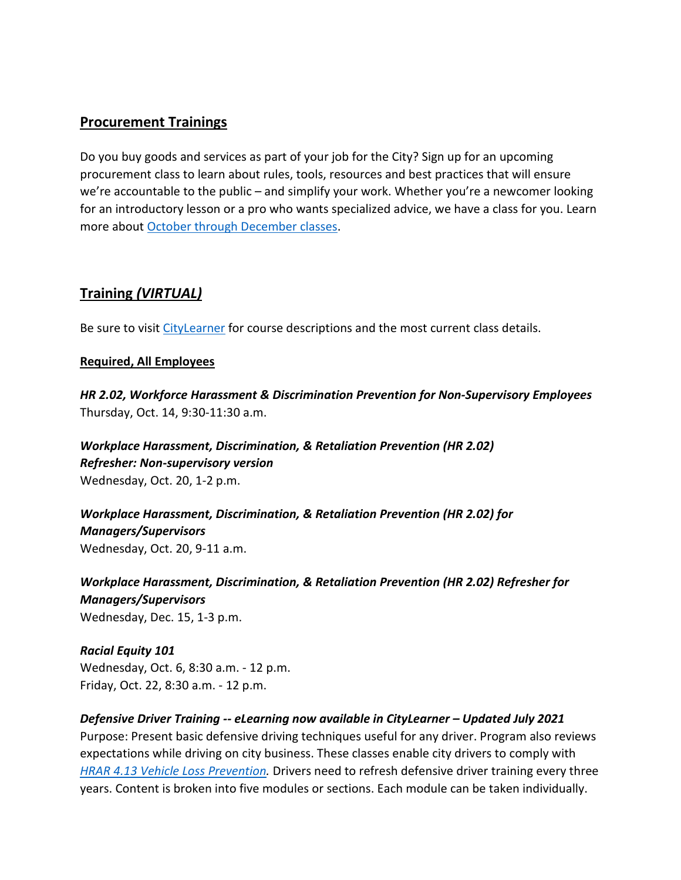# <span id="page-8-0"></span>**Procurement Trainings**

Do you buy goods and services as part of your job for the City? Sign up for an upcoming procurement class to learn about rules, tools, resources and best practices that will ensure we're accountable to the public – and simplify your work. Whether you're a newcomer looking for an introductory lesson or a pro who wants specialized advice, we have a class for you. Learn more about [October through December classes.](https://www.portlandoregon.gov/brfs/index.cfm?&a=780678)

# <span id="page-8-1"></span>**Training** *(VIRTUAL)*

Be sure to visit [CityLearner](https://www.portlandoregon.gov/sf) for course descriptions and the most current class details.

#### **Required, All Employees**

*HR 2.02, Workforce Harassment & Discrimination Prevention for Non-Supervisory Employees* Thursday, Oct. 14, 9:30-11:30 a.m.

*Workplace Harassment, Discrimination, & Retaliation Prevention (HR 2.02) Refresher: Non-supervisory version*  Wednesday, Oct. 20, 1-2 p.m.

*Workplace Harassment, Discrimination, & Retaliation Prevention (HR 2.02) for Managers/Supervisors*  Wednesday, Oct. 20, 9-11 a.m.

*Workplace Harassment, Discrimination, & Retaliation Prevention (HR 2.02) Refresher for Managers/Supervisors*  Wednesday, Dec. 15, 1-3 p.m.

*Racial Equity 101* Wednesday, Oct. 6, 8:30 a.m. - 12 p.m. Friday, Oct. 22, 8:30 a.m. - 12 p.m.

#### *Defensive Driver Training -- eLearning now available in CityLearner – Updated July 2021* Purpose: Present basic defensive driving techniques useful for any driver. Program also reviews

expectations while driving on city business. These classes enable city drivers to comply with *[HRAR 4.13 Vehicle Loss Prevention.](http://www.portlandoregon.gov/?mode=search&search_action=SearchResults&top_category_tree_id=25777&filter_category_tree_id=25777&search_category_tree_id=25777&search_words=HRAR+4.13+Vehicle+Loss+Prevention&submit=Search)* Drivers need to refresh defensive driver training every three years. Content is broken into five modules or sections. Each module can be taken individually.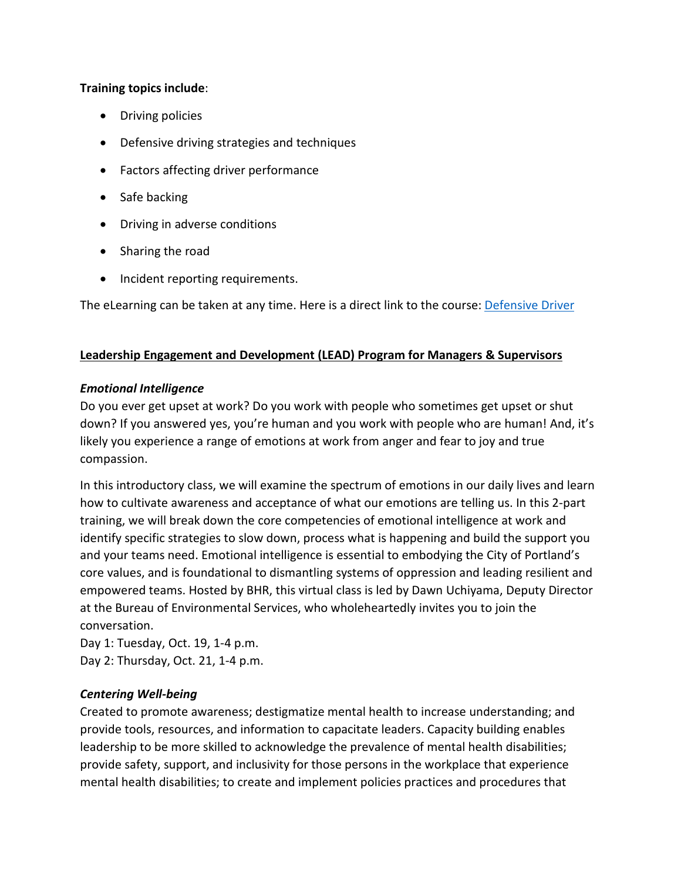### **Training topics include**:

- Driving policies
- Defensive driving strategies and techniques
- Factors affecting driver performance
- Safe backing
- Driving in adverse conditions
- Sharing the road
- Incident reporting requirements.

The eLearning can be taken at any time. Here is a direct link to the course: [Defensive Driver](https://cityofport.plateau.com/learning/user/common/viewItemDetails.do?OWASP_CSRFTOKEN=5M1O-5ANN-0TLU-3QOL-OISM-MYFY-1V3A-L7M9&componentID=LMS61011177&componentTypeID=ELRN&fromSF=Y&revisionDate=1607576040000&menuGroup=Learning&menuItem=Cur&fromDeepLink=true&hideItemDetailsBackLink=true)

#### **Leadership Engagement and Development (LEAD) Program for Managers & Supervisors**

#### *Emotional Intelligence*

Do you ever get upset at work? Do you work with people who sometimes get upset or shut down? If you answered yes, you're human and you work with people who are human! And, it's likely you experience a range of emotions at work from anger and fear to joy and true compassion.

In this introductory class, we will examine the spectrum of emotions in our daily lives and learn how to cultivate awareness and acceptance of what our emotions are telling us. In this 2-part training, we will break down the core competencies of emotional intelligence at work and identify specific strategies to slow down, process what is happening and build the support you and your teams need. Emotional intelligence is essential to embodying the City of Portland's core values, and is foundational to dismantling systems of oppression and leading resilient and empowered teams. Hosted by BHR, this virtual class is led by Dawn Uchiyama, Deputy Director at the Bureau of Environmental Services, who wholeheartedly invites you to join the conversation.

Day 1: Tuesday, Oct. 19, 1-4 p.m. Day 2: Thursday, Oct. 21, 1-4 p.m.

## *Centering Well-being*

Created to promote awareness; destigmatize mental health to increase understanding; and provide tools, resources, and information to capacitate leaders. Capacity building enables leadership to be more skilled to acknowledge the prevalence of mental health disabilities; provide safety, support, and inclusivity for those persons in the workplace that experience mental health disabilities; to create and implement policies practices and procedures that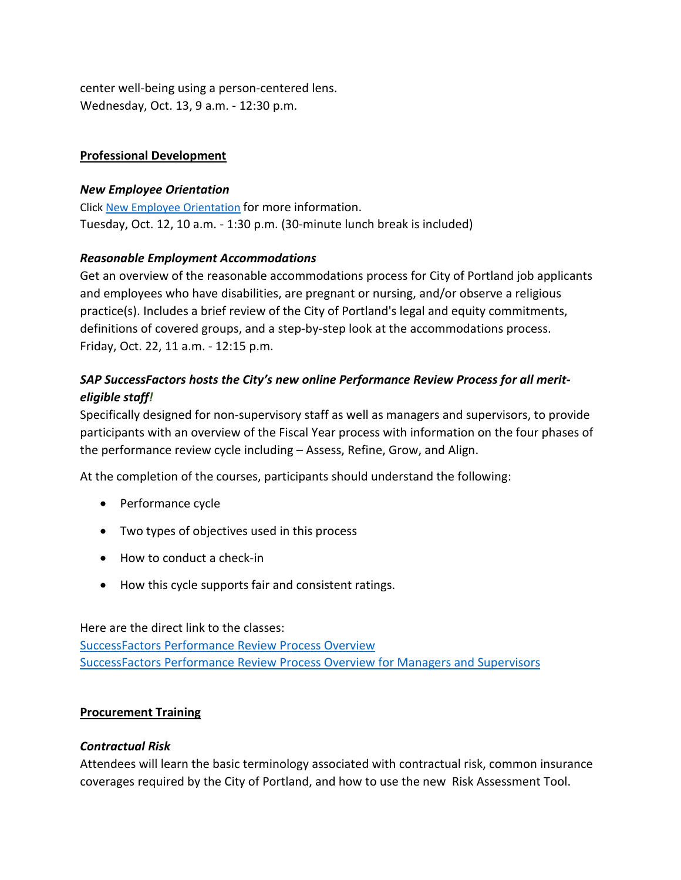center well-being using a person-centered lens. Wednesday, Oct. 13, 9 a.m. - 12:30 p.m.

## **Professional Development**

## *New Employee Orientation*

Click [New Employee Orientation](https://www.portlandoregon.gov/bhr/77721) for more information. Tuesday, Oct. 12, 10 a.m. - 1:30 p.m. (30-minute lunch break is included)

## *Reasonable Employment Accommodations*

Get an overview of the reasonable accommodations process for City of Portland job applicants and employees who have disabilities, are pregnant or nursing, and/or observe a religious practice(s). Includes a brief review of the City of Portland's legal and equity commitments, definitions of covered groups, and a step-by-step look at the accommodations process. Friday, Oct. 22, 11 a.m. - 12:15 p.m.

# *SAP SuccessFactors hosts the City's new online Performance Review Process for all meriteligible staff!*

Specifically designed for non-supervisory staff as well as managers and supervisors, to provide participants with an overview of the Fiscal Year process with information on the four phases of the performance review cycle including – Assess, Refine, Grow, and Align.

At the completion of the courses, participants should understand the following:

- Performance cycle
- Two types of objectives used in this process
- How to conduct a check-in
- How this cycle supports fair and consistent ratings.

Here are the direct link to the classes: [SuccessFactors Performance Review Process Overview](https://cityofport.plateau.com/learning/user/common/viewItemDetails.do?OWASP_CSRFTOKEN=DU90-LX7U-MJFA-R3RR-74UK-2I97-WO9L-P1RW&componentID=29037&componentTypeID=ELRN&fromSF=Y&revisionDate=1621295700000&menuGroup=Learning&menuItem=Cur&fromDeepLink=true&hideItemDetailsBackLink=true) [SuccessFactors Performance Review Process Overview for Managers and Supervisors](https://cityofport.plateau.com/learning/user/deeplink.do?OWASP_CSRFTOKEN=52B6-NP4F-RXCB-ZUY3-124U-DEBZ-IMIS-A678&linkId=ITEM_DETAILS&componentID=29040&componentTypeID=ELRN&fromSF=Y&revisionDate=1621298220000)

## **Procurement Training**

## *Contractual Risk*

Attendees will learn the basic terminology associated with contractual risk, common insurance coverages required by the City of Portland, and how to use the new Risk Assessment Tool.